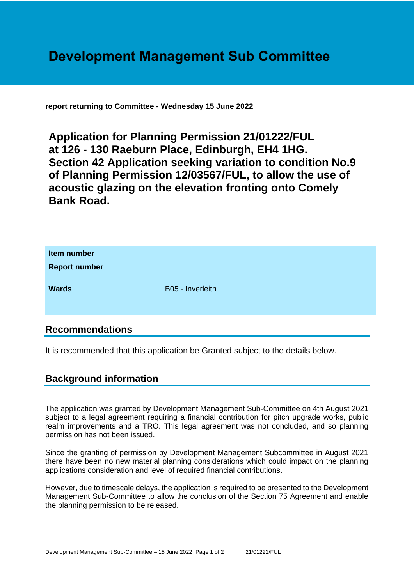# **Development Management Sub Committee**

**report returning to Committee - Wednesday 15 June 2022**

**Application for Planning Permission 21/01222/FUL at 126 - 130 Raeburn Place, Edinburgh, EH4 1HG. Section 42 Application seeking variation to condition No.9 of Planning Permission 12/03567/FUL, to allow the use of acoustic glazing on the elevation fronting onto Comely Bank Road.**

| Item number<br><b>Report number</b> |                  |
|-------------------------------------|------------------|
| <b>Wards</b>                        | B05 - Inverleith |

## **Recommendations**

It is recommended that this application be Granted subject to the details below.

### **Background information**

The application was granted by Development Management Sub-Committee on 4th August 2021 subject to a legal agreement requiring a financial contribution for pitch upgrade works, public realm improvements and a TRO. This legal agreement was not concluded, and so planning permission has not been issued.

Since the granting of permission by Development Management Subcommittee in August 2021 there have been no new material planning considerations which could impact on the planning applications consideration and level of required financial contributions.

However, due to timescale delays, the application is required to be presented to the Development Management Sub-Committee to allow the conclusion of the Section 75 Agreement and enable the planning permission to be released.